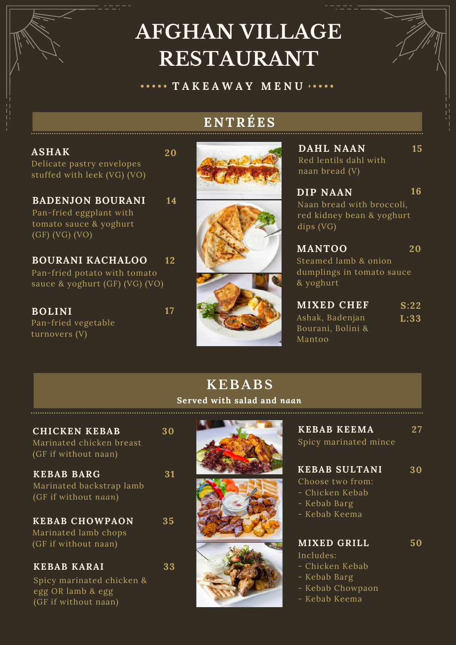# **AFGHAN VILLAGE RESTAURANT**

**T A K E A W A Y M E N U**

## **ENTRÉES**

Delicate pastry envelopes stuffed with leek (VG) (VO) **ASHAK**

Pan-fried eggplant with tomato sauce & yoghurt (GF) (VG) (VO) **BADENJON BOURANI**

Pan-fried potato with tomato sauce & yoghurt (GF) (VG) (VO) **BOURANI KACHALOO 12**

Pan-fried vegetable turnovers (V) **BOLINI 17**

(GF if without naan)



**20**

**14**





Red lentils dahl with naan bread (V) **DAHL NAAN**

Naan bread with broccoli, red kidney bean & yoghurt dips (VG) **16 DIP NAAN**

**15**

Steamed lamb & onion dumplings in tomato sauce & yoghurt **20 MANTOO**

Ashak, Badenjan Bourani, Bolini & Mantoo **S:22 L:33 MIXED CHEF**

|                                                                          | <b>KEBABS</b><br>Served with salad and naan |                                      |  |  |
|--------------------------------------------------------------------------|---------------------------------------------|--------------------------------------|--|--|
| <b>CHICKEN KEBAB</b><br>Marinated chicken breast<br>(GF if without naan) | 30                                          | <b>KEI</b><br>Spic                   |  |  |
| <b>KEBAB BARG</b><br>Marinated backstrap lamb<br>(GF if without naan)    | 31                                          | <b>KEI</b><br>Cho<br>$-cr$<br>$-$ Ke |  |  |
| <b>KEBAB CHOWPAON</b><br>Marinated lamb chops<br>(GF if without naan)    | 35                                          | $-$ Ke<br>MI)<br>Incl                |  |  |
| <b>KEBAB KARAI</b><br>Spicy marinated chicken &<br>egg OR lamb & egg     | 33                                          | - Cl<br>$-$ Ke<br>$-$ Ke             |  |  |

| <b>KEBAB KEEMA</b>    | 27 |
|-----------------------|----|
| Spicy marinated mince |    |

#### **KEBAB SULTANI 30**

- ose two from:
- icken Kebab
- bab Barg
- bab Keema

## **MIXED GRILL 50**

#### $udes$ : icken Kebab

- 
- bab Barg
- bab Chowpaon
- Kebab Keema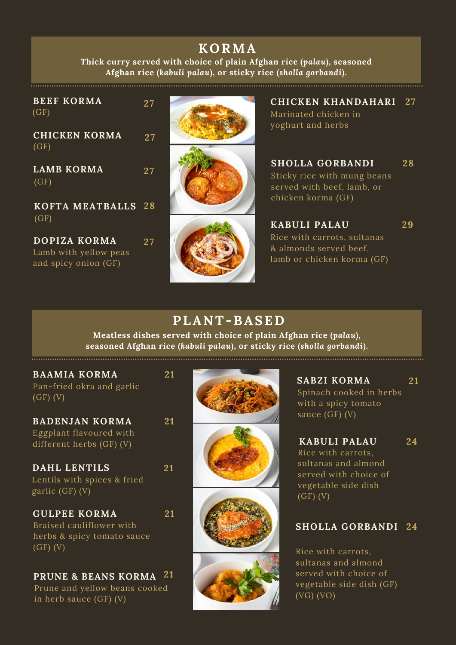# **KORMA**

**Thick curry served with choice of plain Afghan rice (***palau***), seasoned Afghan rice (***kabuli palau***), or sticky rice (***sholla gorbandi***).**

| <b>BEEF KORMA</b><br>(GF)<br><b>CHICKEN KORMA</b>             | 27<br>27 | <b>CHICKEN KHANDAHARI 27</b><br>Marinated chicken in<br>yoghurt and herbs                                 |    |
|---------------------------------------------------------------|----------|-----------------------------------------------------------------------------------------------------------|----|
| (GF)<br><b>LAMB KORMA</b><br>(GF)                             | 27       | <b>SHOLLA GORBANDI</b><br>Sticky rice with mung beans<br>served with beef, lamb, or<br>chicken korma (GF) | 28 |
| KOFTA MEATBALLS 28<br>(GF)                                    |          | <b>KABULI PALAU</b>                                                                                       | 29 |
| DOPIZA KORMA<br>Lamb with yellow peas<br>and spicy onion (GF) | 27       | Rice with carrots, sultanas<br>& almonds served beef,<br>lamb or chicken korma (GF)                       |    |

## **PLANT-BASED**

**Meatless dishes served with choice of plain Afghan rice (***palau***), seasoned Afghan rice (***kabuli palau***), or sticky rice (***sholla gorbandi***).**

| <b>BAAMIA KORMA</b><br>Pan-fried okra and garlic<br>$(GF)$ (V)                              | 21 |
|---------------------------------------------------------------------------------------------|----|
| <b>BADENJAN KORMA</b><br>Eggplant flavoured with<br>different herbs (GF) (V)                | 21 |
| DAHL LENTILS<br>Lentils with spices & fried<br>garlic (GF) (V)                              | 21 |
| <b>GULPEE KORMA</b><br>Braised cauliflower with<br>herbs & spicy tomato sauce<br>$(GF)$ (V) | 21 |
| <b>PRUNE &amp; BEANS KORMA</b>                                                              | 21 |

Prune and yellow beans cooked in herb sauce (GF) (V)



Spinach cooked in herbs with a spicy tomato sauce (GF) (V) **SABZI KORMA 21**

Rice with carrots, sultanas and almond served with choice of vegetable side dish  $\overline{(GF)}$   $(V)$ **KABULI PALAU 24**

### **SHOLLA GORBANDI 24**

Rice with carrots, sultanas and almond served with choice of vegetable side dish (GF) (VG) (VO)